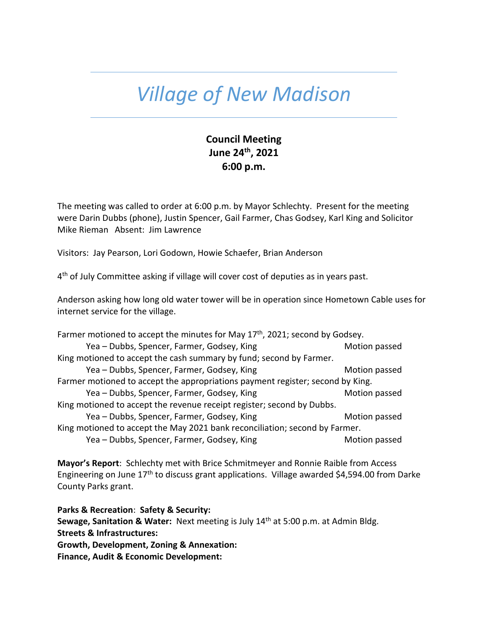## *Village of New Madison*

## **Council Meeting June 24th, 2021 6:00 p.m.**

The meeting was called to order at 6:00 p.m. by Mayor Schlechty. Present for the meeting were Darin Dubbs (phone), Justin Spencer, Gail Farmer, Chas Godsey, Karl King and Solicitor Mike Rieman Absent: Jim Lawrence

Visitors: Jay Pearson, Lori Godown, Howie Schaefer, Brian Anderson

4<sup>th</sup> of July Committee asking if village will cover cost of deputies as in years past.

Anderson asking how long old water tower will be in operation since Hometown Cable uses for internet service for the village.

| Farmer motioned to accept the minutes for May 17 <sup>th</sup> , 2021; second by Godsey. |               |  |
|------------------------------------------------------------------------------------------|---------------|--|
| Yea - Dubbs, Spencer, Farmer, Godsey, King                                               | Motion passed |  |
| King motioned to accept the cash summary by fund; second by Farmer.                      |               |  |
| Yea - Dubbs, Spencer, Farmer, Godsey, King                                               | Motion passed |  |
| Farmer motioned to accept the appropriations payment register; second by King.           |               |  |
| Yea - Dubbs, Spencer, Farmer, Godsey, King                                               | Motion passed |  |
| King motioned to accept the revenue receipt register; second by Dubbs.                   |               |  |
| Yea - Dubbs, Spencer, Farmer, Godsey, King                                               | Motion passed |  |
| King motioned to accept the May 2021 bank reconciliation; second by Farmer.              |               |  |
| Yea - Dubbs, Spencer, Farmer, Godsey, King                                               | Motion passed |  |

**Mayor's Report**: Schlechty met with Brice Schmitmeyer and Ronnie Raible from Access Engineering on June 17th to discuss grant applications. Village awarded \$4,594.00 from Darke County Parks grant.

**Parks & Recreation**: **Safety & Security:** Sewage, Sanitation & Water: Next meeting is July 14<sup>th</sup> at 5:00 p.m. at Admin Bldg. **Streets & Infrastructures: Growth, Development, Zoning & Annexation: Finance, Audit & Economic Development:**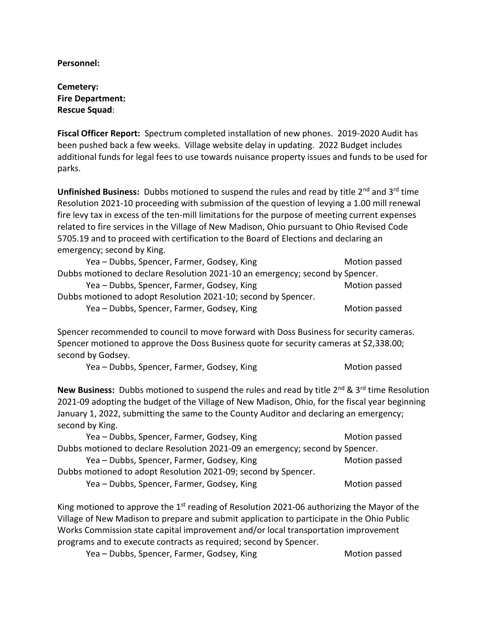**Personnel:** 

**Cemetery: Fire Department: Rescue Squad**:

**Fiscal Officer Report:** Spectrum completed installation of new phones. 2019-2020 Audit has been pushed back a few weeks. Village website delay in updating. 2022 Budget includes additional funds for legal fees to use towards nuisance property issues and funds to be used for parks.

**Unfinished Business:** Dubbs motioned to suspend the rules and read by title 2<sup>nd</sup> and 3<sup>rd</sup> time Resolution 2021-10 proceeding with submission of the question of levying a 1.00 mill renewal fire levy tax in excess of the ten-mill limitations for the purpose of meeting current expenses related to fire services in the Village of New Madison, Ohio pursuant to Ohio Revised Code 5705.19 and to proceed with certification to the Board of Elections and declaring an emergency; second by King.

| Yea - Dubbs, Spencer, Farmer, Godsey, King                                    | Motion passed |
|-------------------------------------------------------------------------------|---------------|
| Dubbs motioned to declare Resolution 2021-10 an emergency; second by Spencer. |               |
| Yea - Dubbs, Spencer, Farmer, Godsey, King                                    | Motion passed |
| Dubbs motioned to adopt Resolution 2021-10; second by Spencer.                |               |
| Yea - Dubbs, Spencer, Farmer, Godsey, King                                    | Motion passed |

Spencer recommended to council to move forward with Doss Business for security cameras. Spencer motioned to approve the Doss Business quote for security cameras at \$2,338.00; second by Godsey.

Yea – Dubbs, Spencer, Farmer, Godsey, King Motion passed Motion passed

New Business: Dubbs motioned to suspend the rules and read by title 2<sup>nd</sup> & 3<sup>rd</sup> time Resolution 2021-09 adopting the budget of the Village of New Madison, Ohio, for the fiscal year beginning January 1, 2022, submitting the same to the County Auditor and declaring an emergency; second by King.

| Yea - Dubbs, Spencer, Farmer, Godsey, King                                    | Motion passed |
|-------------------------------------------------------------------------------|---------------|
| Dubbs motioned to declare Resolution 2021-09 an emergency; second by Spencer. |               |
| Yea - Dubbs, Spencer, Farmer, Godsey, King                                    | Motion passed |
| Dubbs motioned to adopt Resolution 2021-09; second by Spencer.                |               |
| Yea - Dubbs, Spencer, Farmer, Godsey, King                                    | Motion passed |

King motioned to approve the  $1<sup>st</sup>$  reading of Resolution 2021-06 authorizing the Mayor of the Village of New Madison to prepare and submit application to participate in the Ohio Public Works Commission state capital improvement and/or local transportation improvement programs and to execute contracts as required; second by Spencer.

| Yea - Dubbs, Spencer, Farmer, Godsey, King | Motion passed |
|--------------------------------------------|---------------|
|--------------------------------------------|---------------|